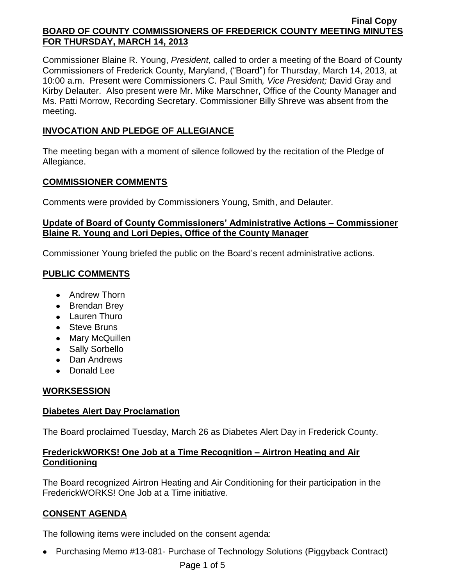Commissioner Blaine R. Young, *President*, called to order a meeting of the Board of County Commissioners of Frederick County, Maryland, ("Board") for Thursday, March 14, 2013, at 10:00 a.m. Present were Commissioners C. Paul Smith*, Vice President;* David Gray and Kirby Delauter. Also present were Mr. Mike Marschner, Office of the County Manager and Ms. Patti Morrow, Recording Secretary. Commissioner Billy Shreve was absent from the meeting.

# **INVOCATION AND PLEDGE OF ALLEGIANCE**

The meeting began with a moment of silence followed by the recitation of the Pledge of Allegiance.

### **COMMISSIONER COMMENTS**

Comments were provided by Commissioners Young, Smith, and Delauter.

### **Update of Board of County Commissioners' Administrative Actions – Commissioner Blaine R. Young and Lori Depies, Office of the County Manager**

Commissioner Young briefed the public on the Board's recent administrative actions.

# **PUBLIC COMMENTS**

- Andrew Thorn
- Brendan Brey
- Lauren Thuro
- Steve Bruns
- Mary McQuillen
- Sally Sorbello
- Dan Andrews
- Donald Lee

# **WORKSESSION**

# **Diabetes Alert Day Proclamation**

The Board proclaimed Tuesday, March 26 as Diabetes Alert Day in Frederick County.

### **FrederickWORKS! One Job at a Time Recognition – Airtron Heating and Air Conditioning**

The Board recognized Airtron Heating and Air Conditioning for their participation in the FrederickWORKS! One Job at a Time initiative.

# **CONSENT AGENDA**

The following items were included on the consent agenda:

• Purchasing Memo #13-081- Purchase of Technology Solutions (Piggyback Contract)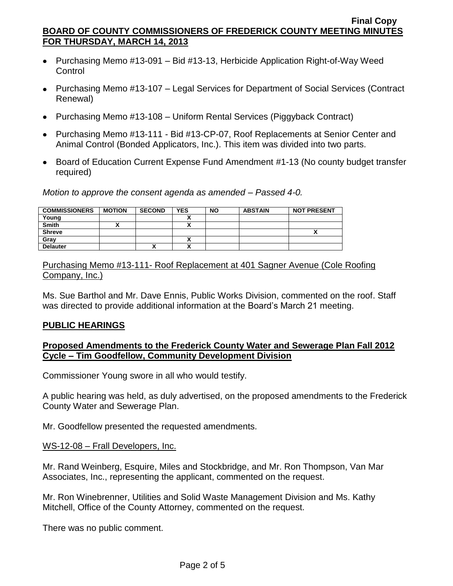- Purchasing Memo #13-091 Bid #13-13, Herbicide Application Right-of-Way Weed **Control**
- Purchasing Memo #13-107 Legal Services for Department of Social Services (Contract Renewal)
- Purchasing Memo #13-108 Uniform Rental Services (Piggyback Contract)
- Purchasing Memo #13-111 Bid #13-CP-07, Roof Replacements at Senior Center and Animal Control (Bonded Applicators, Inc.). This item was divided into two parts.
- Board of Education Current Expense Fund Amendment #1-13 (No county budget transfer required)

*Motion to approve the consent agenda as amended – Passed 4-0.*

| <b>COMMISSIONERS</b> | <b>MOTION</b> | <b>SECOND</b> | <b>YES</b> | <b>NO</b> | <b>ABSTAIN</b> | <b>NOT PRESENT</b> |
|----------------------|---------------|---------------|------------|-----------|----------------|--------------------|
| Young                |               |               |            |           |                |                    |
| <b>Smith</b>         |               |               | Δ          |           |                |                    |
| <b>Shreve</b>        |               |               |            |           |                |                    |
| Gray                 |               |               |            |           |                |                    |
| <b>Delauter</b>      |               | ́             | A          |           |                |                    |

Purchasing Memo #13-111- Roof Replacement at 401 Sagner Avenue (Cole Roofing Company, Inc.)

Ms. Sue Barthol and Mr. Dave Ennis, Public Works Division, commented on the roof. Staff was directed to provide additional information at the Board's March 21 meeting.

### **PUBLIC HEARINGS**

### **Proposed Amendments to the Frederick County Water and Sewerage Plan Fall 2012 Cycle – Tim Goodfellow, Community Development Division**

Commissioner Young swore in all who would testify.

A public hearing was held, as duly advertised, on the proposed amendments to the Frederick County Water and Sewerage Plan.

Mr. Goodfellow presented the requested amendments.

### WS-12-08 – Frall Developers, Inc.

Mr. Rand Weinberg, Esquire, Miles and Stockbridge, and Mr. Ron Thompson, Van Mar Associates, Inc., representing the applicant, commented on the request.

Mr. Ron Winebrenner, Utilities and Solid Waste Management Division and Ms. Kathy Mitchell, Office of the County Attorney, commented on the request.

There was no public comment.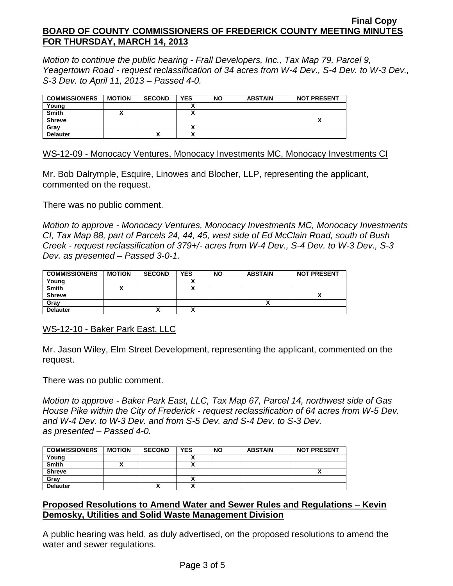*Motion to continue the public hearing - Frall Developers, Inc., Tax Map 79, Parcel 9, Yeagertown Road - request reclassification of 34 acres from W-4 Dev., S-4 Dev. to W-3 Dev., S-3 Dev. to April 11, 2013 – Passed 4-0.*

| <b>COMMISSIONERS</b> | <b>MOTION</b> | <b>SECOND</b> | <b>YES</b> | <b>NO</b> | <b>ABSTAIN</b> | <b>NOT PRESENT</b> |
|----------------------|---------------|---------------|------------|-----------|----------------|--------------------|
| Young                |               |               |            |           |                |                    |
| <b>Smith</b>         |               |               |            |           |                |                    |
| <b>Shreve</b>        |               |               |            |           |                |                    |
| Gray                 |               |               |            |           |                |                    |
| <b>Delauter</b>      |               | ~             |            |           |                |                    |

WS-12-09 - Monocacy Ventures, Monocacy Investments MC, Monocacy Investments CI

Mr. Bob Dalrymple, Esquire, Linowes and Blocher, LLP, representing the applicant, commented on the request.

There was no public comment.

*Motion to approve - Monocacy Ventures, Monocacy Investments MC, Monocacy Investments CI, Tax Map 88, part of Parcels 24, 44, 45, west side of Ed McClain Road, south of Bush Creek - request reclassification of 379+/- acres from W-4 Dev., S-4 Dev. to W-3 Dev., S-3 Dev. as presented – Passed 3-0-1.*

| <b>COMMISSIONERS</b> | <b>MOTION</b> | <b>SECOND</b> | <b>YES</b> | <b>NO</b> | <b>ABSTAIN</b> | <b>NOT PRESENT</b> |
|----------------------|---------------|---------------|------------|-----------|----------------|--------------------|
| Young                |               |               |            |           |                |                    |
| Smith                |               |               |            |           |                |                    |
| <b>Shreve</b>        |               |               |            |           |                |                    |
| Gray                 |               |               |            |           |                |                    |
| <b>Delauter</b>      |               | Λ             |            |           |                |                    |

WS-12-10 - Baker Park East, LLC

Mr. Jason Wiley, Elm Street Development, representing the applicant, commented on the request.

There was no public comment.

*Motion to approve - Baker Park East, LLC, Tax Map 67, Parcel 14, northwest side of Gas House Pike within the City of Frederick - request reclassification of 64 acres from W-5 Dev. and W-4 Dev. to W-3 Dev. and from S-5 Dev. and S-4 Dev. to S-3 Dev. as presented – Passed 4-0.*

| <b>COMMISSIONERS</b> | <b>MOTION</b> | <b>SECOND</b> | <b>YES</b> | <b>NO</b> | <b>ABSTAIN</b> | <b>NOT PRESENT</b> |
|----------------------|---------------|---------------|------------|-----------|----------------|--------------------|
| Young                |               |               |            |           |                |                    |
| <b>Smith</b>         |               |               |            |           |                |                    |
| <b>Shreve</b>        |               |               |            |           |                |                    |
| Grav                 |               |               |            |           |                |                    |
| <b>Delauter</b>      |               | Λ             |            |           |                |                    |

### **Proposed Resolutions to Amend Water and Sewer Rules and Regulations – Kevin Demosky, Utilities and Solid Waste Management Division**

A public hearing was held, as duly advertised, on the proposed resolutions to amend the water and sewer regulations.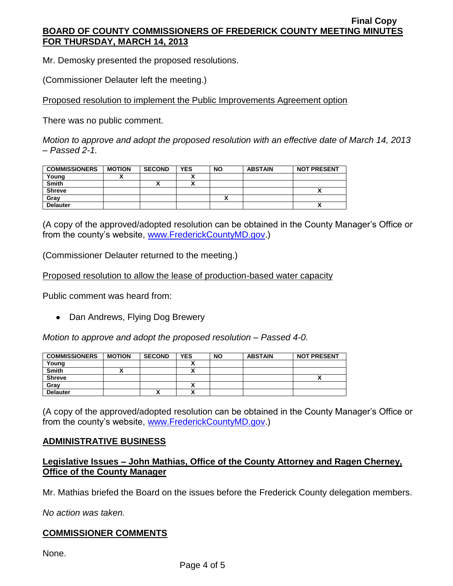Mr. Demosky presented the proposed resolutions.

(Commissioner Delauter left the meeting.)

Proposed resolution to implement the Public Improvements Agreement option

There was no public comment.

*Motion to approve and adopt the proposed resolution with an effective date of March 14, 2013 – Passed 2-1.*

| <b>COMMISSIONERS</b> | <b>MOTION</b> | <b>SECOND</b> | <b>YES</b> | <b>NO</b> | <b>ABSTAIN</b> | <b>NOT PRESENT</b> |
|----------------------|---------------|---------------|------------|-----------|----------------|--------------------|
| Young                |               |               |            |           |                |                    |
| Smith                |               | Λ             |            |           |                |                    |
| <b>Shreve</b>        |               |               |            |           |                |                    |
| Grav                 |               |               |            |           |                |                    |
| <b>Delauter</b>      |               |               |            |           |                | Λ                  |

(A copy of the approved/adopted resolution can be obtained in the County Manager's Office or from the county's website, [www.FrederickCountyMD.gov.](http://www.frederickcountymd.gov/))

(Commissioner Delauter returned to the meeting.)

Proposed resolution to allow the lease of production-based water capacity

Public comment was heard from:

• Dan Andrews, Flying Dog Brewery

*Motion to approve and adopt the proposed resolution – Passed 4-0.*

| <b>COMMISSIONERS</b> | <b>MOTION</b> | <b>SECOND</b> | <b>YES</b> | <b>NO</b> | <b>ABSTAIN</b> | <b>NOT PRESENT</b> |
|----------------------|---------------|---------------|------------|-----------|----------------|--------------------|
| Young                |               |               |            |           |                |                    |
| Smith                |               |               |            |           |                |                    |
| <b>Shreve</b>        |               |               |            |           |                |                    |
| Gray                 |               |               |            |           |                |                    |
| <b>Delauter</b>      |               |               |            |           |                |                    |

(A copy of the approved/adopted resolution can be obtained in the County Manager's Office or from the county's website, [www.FrederickCountyMD.gov.](http://www.frederickcountymd.gov/))

# **ADMINISTRATIVE BUSINESS**

### **Legislative Issues – John Mathias, Office of the County Attorney and Ragen Cherney, Office of the County Manager**

Mr. Mathias briefed the Board on the issues before the Frederick County delegation members.

*No action was taken.*

# **COMMISSIONER COMMENTS**

None.